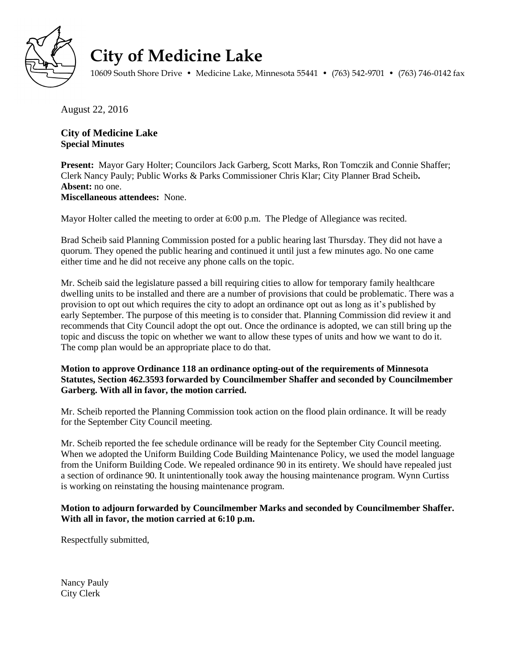

## **City of Medicine Lake**

10609 South Shore Drive • Medicine Lake, Minnesota 55441 • (763) 542-9701 • (763) 746-0142 fax

August 22, 2016

## **City of Medicine Lake Special Minutes**

**Present:** Mayor Gary Holter; Councilors Jack Garberg, Scott Marks, Ron Tomczik and Connie Shaffer; Clerk Nancy Pauly; Public Works & Parks Commissioner Chris Klar; City Planner Brad Scheib**. Absent:** no one. **Miscellaneous attendees:** None.

Mayor Holter called the meeting to order at 6:00 p.m. The Pledge of Allegiance was recited.

Brad Scheib said Planning Commission posted for a public hearing last Thursday. They did not have a quorum. They opened the public hearing and continued it until just a few minutes ago. No one came either time and he did not receive any phone calls on the topic.

Mr. Scheib said the legislature passed a bill requiring cities to allow for temporary family healthcare dwelling units to be installed and there are a number of provisions that could be problematic. There was a provision to opt out which requires the city to adopt an ordinance opt out as long as it's published by early September. The purpose of this meeting is to consider that. Planning Commission did review it and recommends that City Council adopt the opt out. Once the ordinance is adopted, we can still bring up the topic and discuss the topic on whether we want to allow these types of units and how we want to do it. The comp plan would be an appropriate place to do that.

## **Motion to approve Ordinance 118 an ordinance opting-out of the requirements of Minnesota Statutes, Section 462.3593 forwarded by Councilmember Shaffer and seconded by Councilmember Garberg. With all in favor, the motion carried.**

Mr. Scheib reported the Planning Commission took action on the flood plain ordinance. It will be ready for the September City Council meeting.

Mr. Scheib reported the fee schedule ordinance will be ready for the September City Council meeting. When we adopted the Uniform Building Code Building Maintenance Policy, we used the model language from the Uniform Building Code. We repealed ordinance 90 in its entirety. We should have repealed just a section of ordinance 90. It unintentionally took away the housing maintenance program. Wynn Curtiss is working on reinstating the housing maintenance program.

## **Motion to adjourn forwarded by Councilmember Marks and seconded by Councilmember Shaffer. With all in favor, the motion carried at 6:10 p.m.**

Respectfully submitted,

Nancy Pauly City Clerk